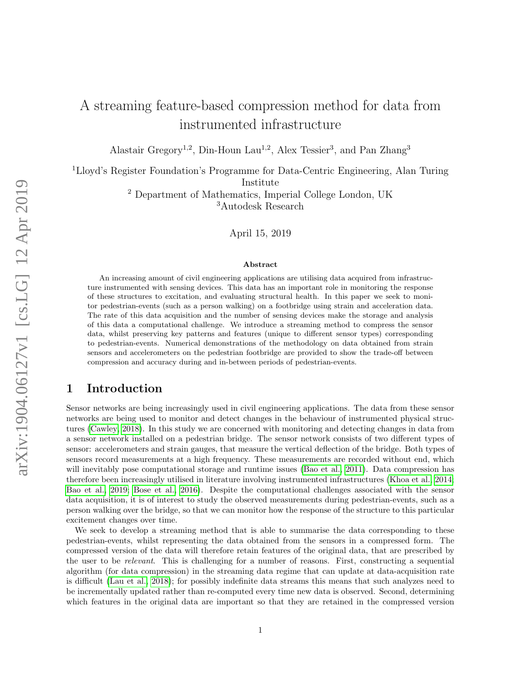# A streaming feature-based compression method for data from instrumented infrastructure

Alastair Gregory<sup>1,2</sup>, Din-Houn Lau<sup>1,2</sup>, Alex Tessier<sup>3</sup>, and Pan Zhang<sup>3</sup>

<sup>1</sup>Lloyd's Register Foundation's Programme for Data-Centric Engineering, Alan Turing Institute

> <sup>2</sup> Department of Mathematics, Imperial College London, UK <sup>3</sup>Autodesk Research

> > April 15, 2019

#### Abstract

An increasing amount of civil engineering applications are utilising data acquired from infrastructure instrumented with sensing devices. This data has an important role in monitoring the response of these structures to excitation, and evaluating structural health. In this paper we seek to monitor pedestrian-events (such as a person walking) on a footbridge using strain and acceleration data. The rate of this data acquisition and the number of sensing devices make the storage and analysis of this data a computational challenge. We introduce a streaming method to compress the sensor data, whilst preserving key patterns and features (unique to different sensor types) corresponding to pedestrian-events. Numerical demonstrations of the methodology on data obtained from strain sensors and accelerometers on the pedestrian footbridge are provided to show the trade-off between compression and accuracy during and in-between periods of pedestrian-events.

## 1 Introduction

Sensor networks are being increasingly used in civil engineering applications. The data from these sensor networks are being used to monitor and detect changes in the behaviour of instrumented physical structures [\(Cawley, 2018\)](#page-16-0). In this study we are concerned with monitoring and detecting changes in data from a sensor network installed on a pedestrian bridge. The sensor network consists of two different types of sensor: accelerometers and strain gauges, that measure the vertical deflection of the bridge. Both types of sensors record measurements at a high frequency. These measurements are recorded without end, which will inevitably pose computational storage and runtime issues [\(Bao et al., 2011\)](#page-16-1). Data compression has therefore been increasingly utilised in literature involving instrumented infrastructures [\(Khoa et al., 2014;](#page-17-0) [Bao et al., 2019;](#page-16-2) [Bose et al., 2016\)](#page-16-3). Despite the computational challenges associated with the sensor data acquisition, it is of interest to study the observed measurements during pedestrian-events, such as a person walking over the bridge, so that we can monitor how the response of the structure to this particular excitement changes over time.

We seek to develop a streaming method that is able to summarise the data corresponding to these pedestrian-events, whilst representing the data obtained from the sensors in a compressed form. The compressed version of the data will therefore retain features of the original data, that are prescribed by the user to be relevant. This is challenging for a number of reasons. First, constructing a sequential algorithm (for data compression) in the streaming data regime that can update at data-acquisition rate is difficult [\(Lau et al., 2018\)](#page-17-1); for possibly indefinite data streams this means that such analyzes need to be incrementally updated rather than re-computed every time new data is observed. Second, determining which features in the original data are important so that they are retained in the compressed version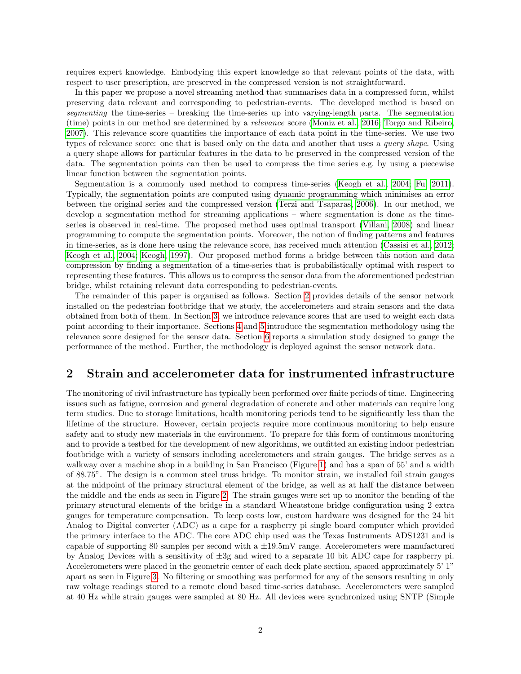requires expert knowledge. Embodying this expert knowledge so that relevant points of the data, with respect to user prescription, are preserved in the compressed version is not straightforward.

In this paper we propose a novel streaming method that summarises data in a compressed form, whilst preserving data relevant and corresponding to pedestrian-events. The developed method is based on segmenting the time-series – breaking the time-series up into varying-length parts. The segmentation (time) points in our method are determined by a relevance score [\(Moniz et al., 2016;](#page-17-2) [Torgo and Ribeiro,](#page-17-3) [2007\)](#page-17-3). This relevance score quantifies the importance of each data point in the time-series. We use two types of relevance score: one that is based only on the data and another that uses a *query shape*. Using a query shape allows for particular features in the data to be preserved in the compressed version of the data. The segmentation points can then be used to compress the time series e.g. by using a piecewise linear function between the segmentation points.

Segmentation is a commonly used method to compress time-series [\(Keogh et al., 2004;](#page-17-4) [Fu, 2011\)](#page-16-4). Typically, the segmentation points are computed using dynamic programming which minimises an error between the original series and the compressed version [\(Terzi and Tsaparas, 2006\)](#page-17-5). In our method, we develop a segmentation method for streaming applications – where segmentation is done as the timeseries is observed in real-time. The proposed method uses optimal transport [\(Villani, 2008\)](#page-17-6) and linear programming to compute the segmentation points. Moreover, the notion of finding patterns and features in time-series, as is done here using the relevance score, has received much attention [\(Cassisi et al., 2012;](#page-16-5) [Keogh et al., 2004;](#page-17-4) [Keogh, 1997\)](#page-17-7). Our proposed method forms a bridge between this notion and data compression by finding a segmentation of a time-series that is probabilistically optimal with respect to representing these features. This allows us to compress the sensor data from the aforementioned pedestrian bridge, whilst retaining relevant data corresponding to pedestrian-events.

The remainder of this paper is organised as follows. Section [2](#page-1-0) provides details of the sensor network installed on the pedestrian footbridge that we study, the accelerometers and strain sensors and the data obtained from both of them. In Section [3,](#page-3-0) we introduce relevance scores that are used to weight each data point according to their importance. Sections [4](#page-4-0) and [5](#page-8-0) introduce the segmentation methodology using the relevance score designed for the sensor data. Section [6](#page-10-0) reports a simulation study designed to gauge the performance of the method. Further, the methodology is deployed against the sensor network data.

## <span id="page-1-0"></span>2 Strain and accelerometer data for instrumented infrastructure

The monitoring of civil infrastructure has typically been performed over finite periods of time. Engineering issues such as fatigue, corrosion and general degradation of concrete and other materials can require long term studies. Due to storage limitations, health monitoring periods tend to be significantly less than the lifetime of the structure. However, certain projects require more continuous monitoring to help ensure safety and to study new materials in the environment. To prepare for this form of continuous monitoring and to provide a testbed for the development of new algorithms, we outfitted an existing indoor pedestrian footbridge with a variety of sensors including accelerometers and strain gauges. The bridge serves as a walkway over a machine shop in a building in San Francisco (Figure [1\)](#page-2-0) and has a span of 55' and a width of 88.75". The design is a common steel truss bridge. To monitor strain, we installed foil strain gauges at the midpoint of the primary structural element of the bridge, as well as at half the distance between the middle and the ends as seen in Figure [2.](#page-2-1) The strain gauges were set up to monitor the bending of the primary structural elements of the bridge in a standard Wheatstone bridge configuration using 2 extra gauges for temperature compensation. To keep costs low, custom hardware was designed for the 24 bit Analog to Digital converter (ADC) as a cape for a raspberry pi single board computer which provided the primary interface to the ADC. The core ADC chip used was the Texas Instruments ADS1231 and is capable of supporting 80 samples per second with a  $\pm 19.5$  mV range. Accelerometers were manufactured by Analog Devices with a sensitivity of  $\pm 3g$  and wired to a separate 10 bit ADC cape for raspberry pi. Accelerometers were placed in the geometric center of each deck plate section, spaced approximately 5' 1" apart as seen in Figure [3.](#page-2-1) No filtering or smoothing was performed for any of the sensors resulting in only raw voltage readings stored to a remote cloud based time-series database. Accelerometers were sampled at 40 Hz while strain gauges were sampled at 80 Hz. All devices were synchronized using SNTP (Simple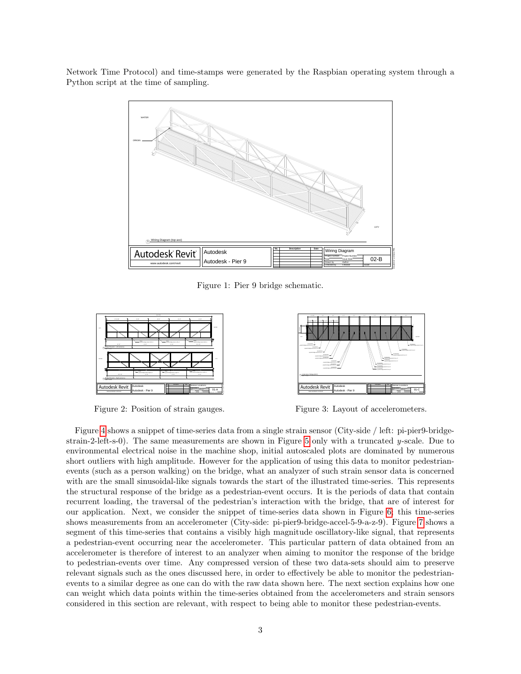<span id="page-2-0"></span>Network Time Protocol) and time-stamps were generated by the Raspbian operating system through a Python script at the time of sampling.



Figure 1: Pier 9 bridge schematic.

<span id="page-2-1"></span>

Figure 2: Position of strain gauges.



Figure 3: Layout of accelerometers.

Figure [4](#page-3-1) shows a snippet of time-series data from a single strain sensor (City-side / left: pi-pier9-bridge-strain-2-left-s-0). The same measurements are shown in Figure [5](#page-3-1) only with a truncated  $y$ -scale. Due to environmental electrical noise in the machine shop, initial autoscaled plots are dominated by numerous short outliers with high amplitude. However for the application of using this data to monitor pedestrianevents (such as a person walking) on the bridge, what an analyzer of such strain sensor data is concerned with are the small sinusoidal-like signals towards the start of the illustrated time-series. This represents the structural response of the bridge as a pedestrian-event occurs. It is the periods of data that contain recurrent loading, the traversal of the pedestrian's interaction with the bridge, that are of interest for our application. Next, we consider the snippet of time-series data shown in Figure [6;](#page-3-2) this time-series shows measurements from an accelerometer (City-side: pi-pier9-bridge-accel-5-9-a-z-9). Figure [7](#page-3-2) shows a segment of this time-series that contains a visibly high magnitude oscillatory-like signal, that represents a pedestrian-event occurring near the accelerometer. This particular pattern of data obtained from an accelerometer is therefore of interest to an analyzer when aiming to monitor the response of the bridge to pedestrian-events over time. Any compressed version of these two data-sets should aim to preserve relevant signals such as the ones discussed here, in order to effectively be able to monitor the pedestrianevents to a similar degree as one can do with the raw data shown here. The next section explains how one can weight which data points within the time-series obtained from the accelerometers and strain sensors considered in this section are relevant, with respect to being able to monitor these pedestrian-events.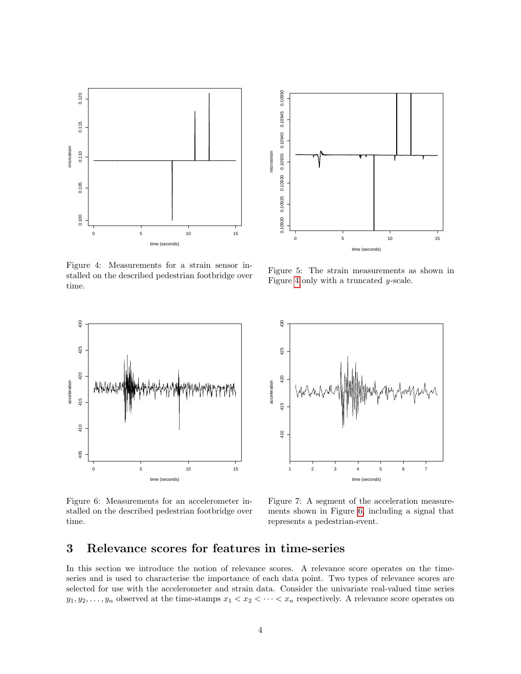<span id="page-3-1"></span>

Figure 4: Measurements for a strain sensor installed on the described pedestrian footbridge over time.



Figure 5: The strain measurements as shown in Figure [4](#page-3-1) only with a truncated y-scale.

<span id="page-3-2"></span>

Figure 6: Measurements for an accelerometer installed on the described pedestrian footbridge over time.



Figure 7: A segment of the acceleration measurements shown in Figure [6,](#page-3-2) including a signal that represents a pedestrian-event.

## <span id="page-3-0"></span>3 Relevance scores for features in time-series

In this section we introduce the notion of relevance scores. A relevance score operates on the timeseries and is used to characterise the importance of each data point. Two types of relevance scores are selected for use with the accelerometer and strain data. Consider the univariate real-valued time series  $y_1, y_2, \ldots, y_n$  observed at the time-stamps  $x_1 < x_2 < \cdots < x_n$  respectively. A relevance score operates on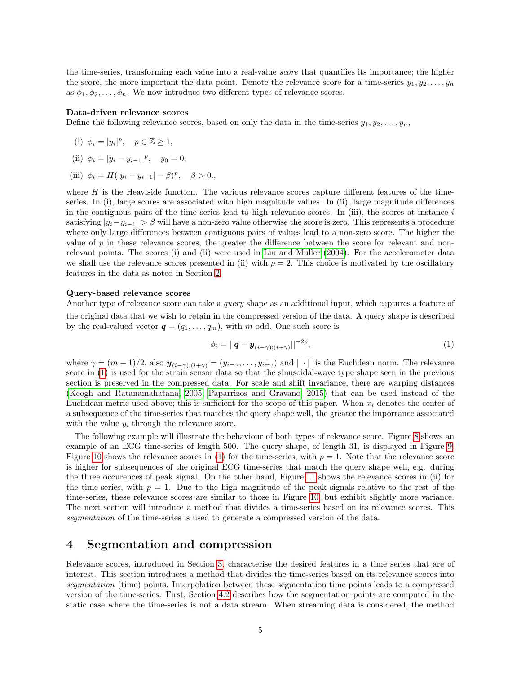the time-series, transforming each value into a real-value score that quantifies its importance; the higher the score, the more important the data point. Denote the relevance score for a time-series  $y_1, y_2, \ldots, y_n$ as  $\phi_1, \phi_2, \ldots, \phi_n$ . We now introduce two different types of relevance scores.

#### Data-driven relevance scores

Define the following relevance scores, based on only the data in the time-series  $y_1, y_2, \ldots, y_n$ ,

(i) 
$$
\phi_i = |y_i|^p, \quad p \in \mathbb{Z} \ge 1,
$$

- (ii)  $\phi_i = |y_i y_{i-1}|^p$ ,  $y_0 = 0$ ,
- (iii)  $\phi_i = H(|y_i y_{i-1}| \beta)^p$ ,  $\beta > 0$ .

where  $H$  is the Heaviside function. The various relevance scores capture different features of the timeseries. In (i), large scores are associated with high magnitude values. In (ii), large magnitude differences in the contiguous pairs of the time series lead to high relevance scores. In (iii), the scores at instance  $i$ satisfying  $|y_i-y_{i-1}| > \beta$  will have a non-zero value otherwise the score is zero. This represents a procedure where only large differences between contiguous pairs of values lead to a non-zero score. The higher the value of  $p$  in these relevance scores, the greater the difference between the score for relevant and non-relevant points. The scores (i) and (ii) were used in Liu and Müller [\(2004\)](#page-17-8). For the accelerometer data we shall use the relevance scores presented in (ii) with  $p = 2$ . This choice is motivated by the oscillatory features in the data as noted in Section [2.](#page-1-0)

#### Query-based relevance scores

Another type of relevance score can take a *query* shape as an additional input, which captures a feature of the original data that we wish to retain in the compressed version of the data. A query shape is described by the real-valued vector  $q = (q_1, \ldots, q_m)$ , with m odd. One such score is

<span id="page-4-1"></span>
$$
\phi_i = ||\boldsymbol{q} - \boldsymbol{y}_{(i-\gamma):(i+\gamma)}||^{-2p},\tag{1}
$$

where  $\gamma = (m-1)/2$ , also  $y_{(i-\gamma):(i+\gamma)} = (y_{i-\gamma}, \ldots, y_{i+\gamma})$  and  $||\cdot||$  is the Euclidean norm. The relevance score in [\(1\)](#page-4-1) is used for the strain sensor data so that the sinusoidal-wave type shape seen in the previous section is preserved in the compressed data. For scale and shift invariance, there are warping distances [\(Keogh and Ratanamahatana, 2005;](#page-17-9) [Paparrizos and Gravano, 2015\)](#page-17-10) that can be used instead of the Euclidean metric used above; this is sufficient for the scope of this paper. When  $x_i$  denotes the center of a subsequence of the time-series that matches the query shape well, the greater the importance associated with the value  $y_i$  through the relevance score.

The following example will illustrate the behaviour of both types of relevance score. Figure [8](#page-5-0) shows an example of an ECG time-series of length 500. The query shape, of length 31, is displayed in Figure [9.](#page-5-0) Figure [10](#page-5-0) shows the relevance scores in [\(1\)](#page-4-1) for the time-series, with  $p = 1$ . Note that the relevance score is higher for subsequences of the original ECG time-series that match the query shape well, e.g. during the three occurences of peak signal. On the other hand, Figure [11](#page-5-0) shows the relevance scores in (ii) for the time-series, with  $p = 1$ . Due to the high magnitude of the peak signals relative to the rest of the time-series, these relevance scores are similar to those in Figure [10,](#page-5-0) but exhibit slightly more variance. The next section will introduce a method that divides a time-series based on its relevance scores. This segmentation of the time-series is used to generate a compressed version of the data.

## <span id="page-4-0"></span>4 Segmentation and compression

Relevance scores, introduced in Section [3,](#page-3-0) characterise the desired features in a time series that are of interest. This section introduces a method that divides the time-series based on its relevance scores into segmentation (time) points. Interpolation between these segmentation time points leads to a compressed version of the time-series. First, Section [4.2](#page-6-0) describes how the segmentation points are computed in the static case where the time-series is not a data stream. When streaming data is considered, the method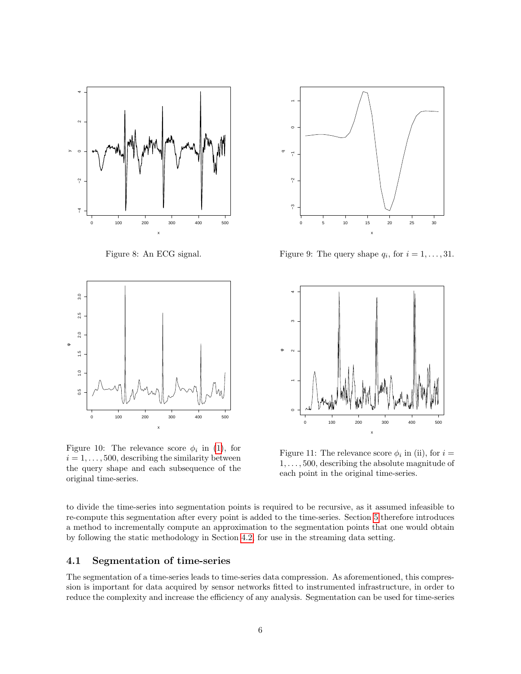<span id="page-5-0"></span>

Figure 8: An ECG signal.



Figure 10: The relevance score  $\phi_i$  in [\(1\)](#page-4-1), for  $i = 1, \ldots, 500$ , describing the similarity between the query shape and each subsequence of the original time-series.



Figure 9: The query shape  $q_i$ , for  $i = 1, \ldots, 31$ .



Figure 11: The relevance score  $\phi_i$  in (ii), for  $i =$  $1, \ldots, 500$ , describing the absolute magnitude of each point in the original time-series.

to divide the time-series into segmentation points is required to be recursive, as it assumed infeasible to re-compute this segmentation after every point is added to the time-series. Section [5](#page-8-0) therefore introduces a method to incrementally compute an approximation to the segmentation points that one would obtain by following the static methodology in Section [4.2,](#page-6-0) for use in the streaming data setting.

#### 4.1 Segmentation of time-series

The segmentation of a time-series leads to time-series data compression. As aforementioned, this compression is important for data acquired by sensor networks fitted to instrumented infrastructure, in order to reduce the complexity and increase the efficiency of any analysis. Segmentation can be used for time-series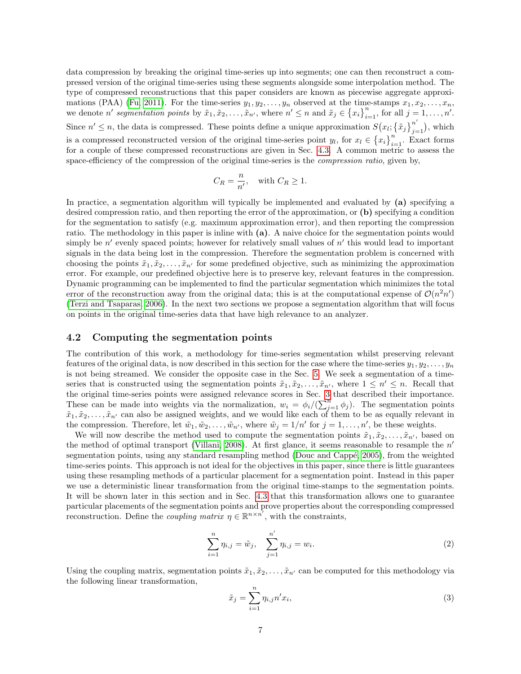data compression by breaking the original time-series up into segments; one can then reconstruct a compressed version of the original time-series using these segments alongside some interpolation method. The type of compressed reconstructions that this paper considers are known as piecewise aggregate approxi-mations (PAA) [\(Fu, 2011\)](#page-16-4). For the time-series  $y_1, y_2, \ldots, y_n$  observed at the time-stamps  $x_1, x_2, \ldots, x_n$ , we denote n' segmentation points by  $\tilde{x}_1, \tilde{x}_2, \ldots, \tilde{x}_{n'}$ , where  $n' \leq n$  and  $\tilde{x}_j \in \{x_i\}_{i=1}^n$ , for all  $j = 1, \ldots, n'$ . Since  $n' \leq n$ , the data is compressed. These points define a unique approximation  $S(x_i; {\{\tilde{x}}_j\}_{j=1}^{n'}$  $_{j=1}^{n}$ ), which is a compressed reconstructed version of the original time-series point  $y_l$ , for  $x_l \in \{x_i\}_{i=1}^n$ . Exact forms for a couple of these compressed reconstructions are given in Sec. [4.3.](#page-7-0) A common metric to assess the space-efficiency of the compression of the original time-series is the *compression ratio*, given by,

$$
C_R = \frac{n}{n'}, \quad \text{with } C_R \ge 1.
$$

In practice, a segmentation algorithm will typically be implemented and evaluated by (a) specifying a desired compression ratio, and then reporting the error of the approximation, or (b) specifying a condition for the segmentation to satisfy (e.g. maximum approximation error), and then reporting the compression ratio. The methodology in this paper is inline with (a). A naive choice for the segmentation points would simply be  $n'$  evenly spaced points; however for relatively small values of  $n'$  this would lead to important signals in the data being lost in the compression. Therefore the segmentation problem is concerned with choosing the points  $\tilde{x}_1, \tilde{x}_2, \ldots, \tilde{x}_{n'}$  for some predefined objective, such as minimizing the approximation error. For example, our predefined objective here is to preserve key, relevant features in the compression. Dynamic programming can be implemented to find the particular segmentation which minimizes the total error of the reconstruction away from the original data; this is at the computational expense of  $\mathcal{O}(n^2n')$ [\(Terzi and Tsaparas, 2006\)](#page-17-5). In the next two sections we propose a segmentation algorithm that will focus on points in the original time-series data that have high relevance to an analyzer.

#### <span id="page-6-0"></span>4.2 Computing the segmentation points

The contribution of this work, a methodology for time-series segmentation whilst preserving relevant features of the original data, is now described in this section for the case where the time-series  $y_1, y_2, \ldots, y_n$ is not being streamed. We consider the opposite case in the Sec. [5.](#page-8-0) We seek a segmentation of a timeseries that is constructed using the segmentation points  $\tilde{x}_1, \tilde{x}_2, \ldots, \tilde{x}_{n'}$ , where  $1 \leq n' \leq n$ . Recall that the original time-series points were assigned relevance scores in Sec. [3](#page-3-0) that described their importance. These can be made into weights via the normalization,  $w_i = \phi_i/(\sum_{j=1}^n \phi_j)$ . The segmentation points  $\tilde{x}_1, \tilde{x}_2, \ldots, \tilde{x}_{n'}$  can also be assigned weights, and we would like each of them to be as equally relevant in the compression. Therefore, let  $\tilde{w}_1, \tilde{w}_2, \ldots, \tilde{w}_{n'}$ , where  $\tilde{w}_j = 1/n'$  for  $j = 1, \ldots, n'$ , be these weights.

We will now describe the method used to compute the segmentation points  $\tilde{x}_1, \tilde{x}_2, \ldots, \tilde{x}_{n'}$ , based on the method of optimal transport [\(Villani, 2008\)](#page-17-6). At first glance, it seems reasonable to resample the  $n'$ segmentation points, using any standard resampling method (Douc and Cappé, 2005), from the weighted time-series points. This approach is not ideal for the objectives in this paper, since there is little guarantees using these resampling methods of a particular placement for a segmentation point. Instead in this paper we use a deterministic linear transformation from the original time-stamps to the segmentation points. It will be shown later in this section and in Sec. [4.3](#page-7-0) that this transformation allows one to guarantee particular placements of the segmentation points and prove properties about the corresponding compressed reconstruction. Define the *coupling matrix*  $\eta \in \mathbb{R}^{n \times n'}$ , with the constraints,

<span id="page-6-1"></span>
$$
\sum_{i=1}^{n} \eta_{i,j} = \tilde{w}_j, \quad \sum_{j=1}^{n'} \eta_{i,j} = w_i.
$$
 (2)

Using the coupling matrix, segmentation points  $\tilde{x}_1, \tilde{x}_2, \ldots, \tilde{x}_{n'}$  can be computed for this methodology via the following linear transformation,

<span id="page-6-2"></span>
$$
\tilde{x}_j = \sum_{i=1}^n \eta_{i,j} n' x_i,\tag{3}
$$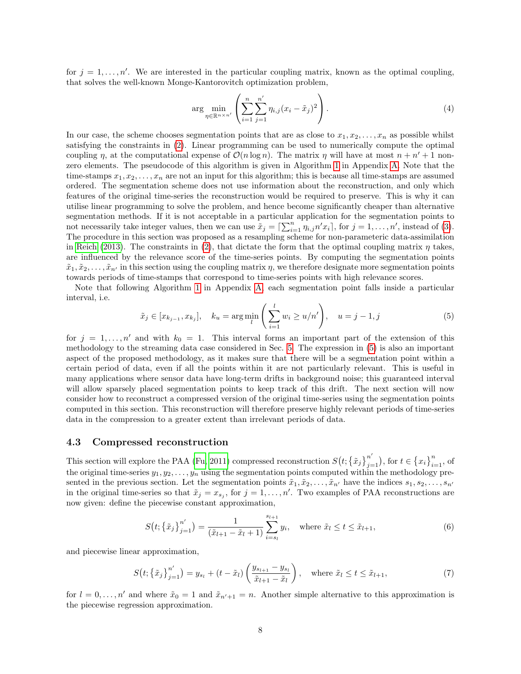for  $j = 1, \ldots, n'$ . We are interested in the particular coupling matrix, known as the optimal coupling, that solves the well-known Monge-Kantorovitch optimization problem,

$$
\arg \min_{\eta \in \mathbb{R}^{n \times n'}} \left( \sum_{i=1}^{n} \sum_{j=1}^{n'} \eta_{i,j} (x_i - \tilde{x}_j)^2 \right).
$$
 (4)

In our case, the scheme chooses segmentation points that are as close to  $x_1, x_2, \ldots, x_n$  as possible whilst satisfying the constraints in [\(2\)](#page-6-1). Linear programming can be used to numerically compute the optimal coupling  $\eta$ , at the computational expense of  $\mathcal{O}(n \log n)$ . The matrix  $\eta$  will have at most  $n + n' + 1$  nonzero elements. The pseudocode of this algorithm is given in Algorithm [1](#page-18-0) in Appendix [A.](#page-17-11) Note that the time-stamps  $x_1, x_2, \ldots, x_n$  are not an input for this algorithm; this is because all time-stamps are assumed ordered. The segmentation scheme does not use information about the reconstruction, and only which features of the original time-series the reconstruction would be required to preserve. This is why it can utilise linear programming to solve the problem, and hence become significantly cheaper than alternative segmentation methods. If it is not acceptable in a particular application for the segmentation points to not necessarily take integer values, then we can use  $\tilde{x}_j = \left[\sum_{i=1}^n \eta_{i,j} n' x_i\right]$ , for  $j = 1, \ldots, n'$ , instead of [\(3\)](#page-6-2). The procedure in this section was proposed as a resampling scheme for non-parameteric data-assimilation in [Reich](#page-17-12) [\(2013\)](#page-17-12). The constraints in [\(2\)](#page-6-1), that dictate the form that the optimal coupling matrix  $\eta$  takes, are influenced by the relevance score of the time-series points. By computing the segmentation points  $\tilde{x}_1, \tilde{x}_2, \ldots, \tilde{x}_{n'}$  in this section using the coupling matrix  $\eta$ , we therefore designate more segmentation points towards periods of time-stamps that correspond to time-series points with high relevance scores.

Note that following Algorithm [1](#page-18-0) in Appendix [A,](#page-17-11) each segmentation point falls inside a particular interval, i.e.

<span id="page-7-1"></span>
$$
\tilde{x}_j \in [x_{k_{j-1}}, x_{k_j}], \quad k_u = \arg\min_l \left( \sum_{i=1}^l w_i \ge u/n' \right), \quad u = j - 1, j
$$
\n(5)

for  $j = 1, \ldots, n'$  and with  $k_0 = 1$ . This interval forms an important part of the extension of this methodology to the streaming data case considered in Sec. [5.](#page-8-0) The expression in [\(5\)](#page-7-1) is also an important aspect of the proposed methodology, as it makes sure that there will be a segmentation point within a certain period of data, even if all the points within it are not particularly relevant. This is useful in many applications where sensor data have long-term drifts in background noise; this guaranteed interval will allow sparsely placed segmentation points to keep track of this drift. The next section will now consider how to reconstruct a compressed version of the original time-series using the segmentation points computed in this section. This reconstruction will therefore preserve highly relevant periods of time-series data in the compression to a greater extent than irrelevant periods of data.

#### <span id="page-7-0"></span>4.3 Compressed reconstruction

This section will explore the PAA [\(Fu, 2011\)](#page-16-4) compressed reconstruction  $S(t; \{\tilde{x}_j\}_{j=1}^{n'}$  $j=1}^{n'}$ , for  $t \in \{x_i\}_{i=1}^n$ , of the original time-series  $y_1, y_2, \ldots, y_n$  using the segmentation points computed within the methodology presented in the previous section. Let the segmentation points  $\tilde{x}_1, \tilde{x}_2, \ldots, \tilde{x}_{n'}$  have the indices  $s_1, s_2, \ldots, s_{n'}$ in the original time-series so that  $\tilde{x}_j = x_{s_j}$ , for  $j = 1, \ldots, n'$ . Two examples of PAA reconstructions are now given: define the piecewise constant approximation,

$$
S(t; \{\tilde{x}_j\}_{j=1}^{n'}) = \frac{1}{(\tilde{x}_{l+1} - \tilde{x}_l + 1)} \sum_{i=s_l}^{s_{l+1}} y_i, \text{ where } \tilde{x}_l \le t \le \tilde{x}_{l+1},
$$
 (6)

and piecewise linear approximation,

<span id="page-7-2"></span>
$$
S(t; \{\tilde{x}_j\}_{j=1}^{n'}) = y_{s_l} + (t - \tilde{x}_l) \left(\frac{y_{s_{l+1}} - y_{s_l}}{\tilde{x}_{l+1} - \tilde{x}_l}\right), \quad \text{where } \tilde{x}_l \le t \le \tilde{x}_{l+1}, \tag{7}
$$

for  $l = 0, \ldots, n'$  and where  $\tilde{x}_0 = 1$  and  $\tilde{x}_{n'+1} = n$ . Another simple alternative to this approximation is the piecewise regression approximation.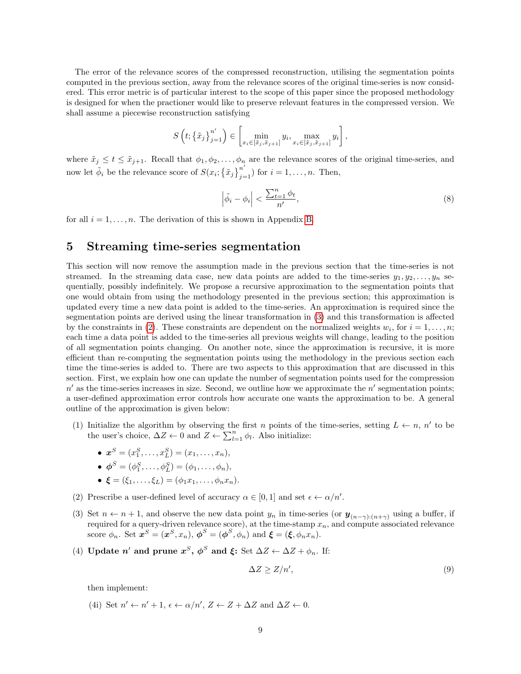The error of the relevance scores of the compressed reconstruction, utilising the segmentation points computed in the previous section, away from the relevance scores of the original time-series is now considered. This error metric is of particular interest to the scope of this paper since the proposed methodology is designed for when the practioner would like to preserve relevant features in the compressed version. We shall assume a piecewise reconstruction satisfying

$$
S\left(t; \left\{\tilde{x}_j\right\}_{j=1}^{n'}\right) \in \left[\min_{x_i \in [\tilde{x}_j, \tilde{x}_{j+1}]} y_i, \max_{x_i \in [\tilde{x}_j, \tilde{x}_{j+1}]} y_i\right],
$$

where  $\tilde{x}_j \leq t \leq \tilde{x}_{j+1}$ . Recall that  $\phi_1, \phi_2, \ldots, \phi_n$  are the relevance scores of the original time-series, and now let  $\phi_i$  be the relevance score of  $S(x_i; \{\tilde{x}_j\}_{j=1}^{n'})$  for  $i = 1, \ldots, n$ . Then,

<span id="page-8-2"></span>
$$
\left|\tilde{\phi}_i - \phi_i\right| < \frac{\sum_{t=1}^n \phi_t}{n'},\tag{8}
$$

for all  $i = 1, \ldots, n$ . The derivation of this is shown in Appendix [B.](#page-17-13)

## <span id="page-8-0"></span>5 Streaming time-series segmentation

This section will now remove the assumption made in the previous section that the time-series is not streamed. In the streaming data case, new data points are added to the time-series  $y_1, y_2, \ldots, y_n$  sequentially, possibly indefinitely. We propose a recursive approximation to the segmentation points that one would obtain from using the methodology presented in the previous section; this approximation is updated every time a new data point is added to the time-series. An approximation is required since the segmentation points are derived using the linear transformation in [\(3\)](#page-6-2) and this transformation is affected by the constraints in [\(2\)](#page-6-1). These constraints are dependent on the normalized weights  $w_i$ , for  $i = 1, \ldots, n$ ; each time a data point is added to the time-series all previous weights will change, leading to the position of all segmentation points changing. On another note, since the approximation is recursive, it is more efficient than re-computing the segmentation points using the methodology in the previous section each time the time-series is added to. There are two aspects to this approximation that are discussed in this section. First, we explain how one can update the number of segmentation points used for the compression  $n'$  as the time-series increases in size. Second, we outline how we approximate the  $n'$  segmentation points; a user-defined approximation error controls how accurate one wants the approximation to be. A general outline of the approximation is given below:

- (1) Initialize the algorithm by observing the first *n* points of the time-series, setting  $L \leftarrow n, n'$  to be the user's choice,  $\Delta Z \leftarrow 0$  and  $Z \leftarrow \sum_{l=1}^{n} \phi_l$ . Also initialize:
	- $x^S = (x_1^S, \ldots, x_L^S) = (x_1, \ldots, x_n),$
	- $\phi^S = (\phi_1^S, \ldots, \phi_L^S) = (\phi_1, \ldots, \phi_n),$
	- $\xi = (\xi_1, \ldots, \xi_L) = (\phi_1 x_1, \ldots, \phi_n x_n).$
- (2) Prescribe a user-defined level of accuracy  $\alpha \in [0,1]$  and set  $\epsilon \leftarrow \alpha/n'$ .
- (3) Set  $n \leftarrow n+1$ , and observe the new data point  $y_n$  in time-series (or  $\mathbf{y}_{(n-\gamma):(n+\gamma)}$  using a buffer, if required for a query-driven relevance score), at the time-stamp  $x_n$ , and compute associated relevance score  $\phi_n$ . Set  $\mathbf{x}^S = (\mathbf{x}^S, x_n)$ ,  $\phi^S = (\phi^S, \phi_n)$  and  $\boldsymbol{\xi} = (\boldsymbol{\xi}, \phi_n x_n)$ .
- (4) Update n' and prune  $x^S$ ,  $\phi^S$  and  $\xi$ : Set  $\Delta Z \leftarrow \Delta Z + \phi_n$ . If:

<span id="page-8-1"></span>
$$
\Delta Z \ge Z/n',\tag{9}
$$

then implement:

(4i) Set  $n' \leftarrow n' + 1$ ,  $\epsilon \leftarrow \alpha/n'$ ,  $Z \leftarrow Z + \Delta Z$  and  $\Delta Z \leftarrow 0$ .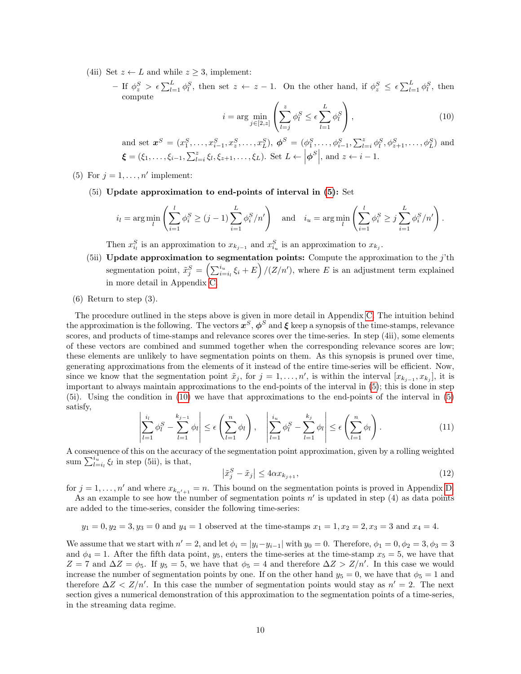- (4ii) Set  $z \leftarrow L$  and while  $z \geq 3$ , implement:
	- $-$  If  $\phi_z^S > \epsilon \sum_{l=1}^L \phi_l^S$ , then set  $z \leftarrow z 1$ . On the other hand, if  $\phi_z^S \leq \epsilon \sum_{l=1}^L \phi_l^S$ , then compute

<span id="page-9-0"></span>
$$
i = \arg\min_{j \in [2, z]} \left( \sum_{l=j}^{z} \phi_l^S \le \epsilon \sum_{l=1}^{L} \phi_l^S \right), \tag{10}
$$

and set 
$$
\mathbf{x}^{S} = (x_1^{S}, \dots, x_{i-1}^{S}, x_2^{S}, \dots, x_L^{S}), \phi^{S} = (\phi_1^{S}, \dots, \phi_{i-1}^{S}, \sum_{l=i}^{z} \phi_l^{S}, \phi_{z+1}^{S}, \dots, \phi_L^{S})
$$
 and  $\boldsymbol{\xi} = (\xi_1, \dots, \xi_{i-1}, \sum_{l=i}^{z} \xi_l, \xi_{z+1}, \dots, \xi_L)$ . Set  $L \leftarrow |\phi^{S}|$ , and  $z \leftarrow i-1$ .

- (5) For  $j = 1, \ldots, n'$  implement:
	- (5i) Update approximation to end-points of interval in [\(5\)](#page-7-1): Set

$$
i_l = \arg\min_l \left( \sum_{i=1}^l \phi_i^S \ge (j-1) \sum_{i=1}^L \phi_i^S / n' \right) \quad \text{and} \quad i_u = \arg\min_l \left( \sum_{i=1}^l \phi_i^S \ge j \sum_{i=1}^L \phi_i^S / n' \right).
$$

Then  $x_{i_l}^S$  is an approximation to  $x_{k_{j-1}}$  and  $x_{i_u}^S$  is an approximation to  $x_{k_j}$ .

- (5ii) Update approximation to segmentation points: Compute the approximation to the  $j$ 'th segmentation point,  $\tilde{x}_{j}^{S} = \left(\sum_{i=i_l}^{i_u} \xi_i + E\right) / (Z/n')$ , where E is an adjustment term explained in more detail in Appendix [C.](#page-18-1)
- (6) Return to step (3).

The procedure outlined in the steps above is given in more detail in Appendix [C.](#page-18-1) The intuition behind the approximation is the following. The vectors  $x^S$ ,  $\phi^S$  and  $\xi$  keep a synopsis of the time-stamps, relevance scores, and products of time-stamps and relevance scores over the time-series. In step (4ii), some elements of these vectors are combined and summed together when the corresponding relevance scores are low; these elements are unlikely to have segmentation points on them. As this synopsis is pruned over time, generating approximations from the elements of it instead of the entire time-series will be efficient. Now, since we know that the segmentation point  $\tilde{x}_j$ , for  $j = 1, \ldots, n'$ , is within the interval  $[x_{k_{j-1}}, x_{k_j}]$ , it is important to always maintain approximations to the end-points of the interval in [\(5\)](#page-7-1); this is done in step (5i). Using the condition in [\(10\)](#page-9-0) we have that approximations to the end-points of the interval in [\(5\)](#page-7-1) satisfy,

<span id="page-9-2"></span>
$$
\left|\sum_{l=1}^{i_l} \phi_l^S - \sum_{l=1}^{k_{j-1}} \phi_l\right| \le \epsilon \left(\sum_{l=1}^n \phi_l\right), \quad \left|\sum_{l=1}^{i_u} \phi_l^S - \sum_{l=1}^{k_j} \phi_l\right| \le \epsilon \left(\sum_{l=1}^n \phi_l\right). \tag{11}
$$

A consequence of this on the accuracy of the segmentation point approximation, given by a rolling weighted sum  $\sum_{l=i_l}^{i_u} \xi_l$  in step (5ii), is that,

<span id="page-9-1"></span>
$$
\left|\tilde{x}_j^S - \tilde{x}_j\right| \le 4\alpha x_{k_{j+1}},\tag{12}
$$

for  $j = 1, \ldots, n'$  and where  $x_{k_{n'+1}} = n$ . This bound on the segmentation points is proved in Appendix [D.](#page-20-0)

As an example to see how the number of segmentation points  $n'$  is updated in step (4) as data points are added to the time-series, consider the following time-series:

$$
y_1 = 0
$$
,  $y_2 = 3$ ,  $y_3 = 0$  and  $y_4 = 1$  observed at the time-stamps  $x_1 = 1$ ,  $x_2 = 2$ ,  $x_3 = 3$  and  $x_4 = 4$ .

We assume that we start with  $n' = 2$ , and let  $\phi_i = |y_i - y_{i-1}|$  with  $y_0 = 0$ . Therefore,  $\phi_1 = 0, \phi_2 = 3, \phi_3 = 3$ and  $\phi_4 = 1$ . After the fifth data point,  $y_5$ , enters the time-series at the time-stamp  $x_5 = 5$ , we have that  $Z = 7$  and  $\Delta Z = \phi_5$ . If  $y_5 = 5$ , we have that  $\phi_5 = 4$  and therefore  $\Delta Z > Z/n'$ . In this case we would increase the number of segmentation points by one. If on the other hand  $y_5 = 0$ , we have that  $\phi_5 = 1$  and therefore  $\Delta Z < Z/n'$ . In this case the number of segmentation points would stay as  $n' = 2$ . The next section gives a numerical demonstration of this approximation to the segmentation points of a time-series, in the streaming data regime.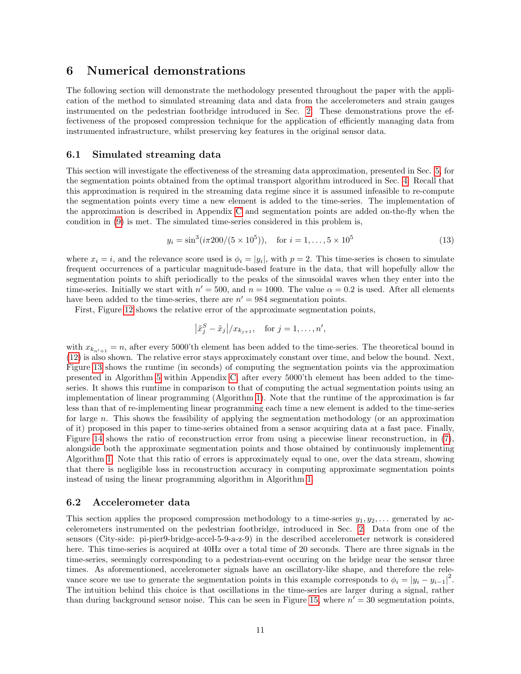## <span id="page-10-0"></span>6 Numerical demonstrations

The following section will demonstrate the methodology presented throughout the paper with the application of the method to simulated streaming data and data from the accelerometers and strain gauges instrumented on the pedestrian footbridge introduced in Sec. [2.](#page-1-0) These demonstrations prove the effectiveness of the proposed compression technique for the application of efficiently managing data from instrumented infrastructure, whilst preserving key features in the original sensor data.

#### 6.1 Simulated streaming data

This section will investigate the effectiveness of the streaming data approximation, presented in Sec. [5,](#page-8-0) for the segmentation points obtained from the optimal transport algorithm introduced in Sec. [4.](#page-4-0) Recall that this approximation is required in the streaming data regime since it is assumed infeasible to re-compute the segmentation points every time a new element is added to the time-series. The implementation of the approximation is described in Appendix [C](#page-18-1) and segmentation points are added on-the-fly when the condition in [\(9\)](#page-8-1) is met. The simulated time-series considered in this problem is,

<span id="page-10-1"></span>
$$
y_i = \sin^3(i\pi 200/(5 \times 10^5)), \quad \text{for } i = 1, \dots, 5 \times 10^5 \tag{13}
$$

where  $x_i = i$ , and the relevance score used is  $\phi_i = |y_i|$ , with  $p = 2$ . This time-series is chosen to simulate frequent occurrences of a particular magnitude-based feature in the data, that will hopefully allow the segmentation points to shift periodically to the peaks of the sinusoidal waves when they enter into the time-series. Initially we start with  $n' = 500$ , and  $n = 1000$ . The value  $\alpha = 0.2$  is used. After all elements have been added to the time-series, there are  $n' = 984$  segmentation points.

First, Figure [12](#page-11-0) shows the relative error of the approximate segmentation points,

$$
\left|\tilde{x}_j^S - \tilde{x}_j\right|/x_{k_{j+1}}, \quad \text{for } j = 1, \dots, n',
$$

with  $x_{k_{n'+1}} = n$ , after every 5000'th element has been added to the time-series. The theoretical bound in [\(12\)](#page-9-1) is also shown. The relative error stays approximately constant over time, and below the bound. Next, Figure [13](#page-11-0) shows the runtime (in seconds) of computing the segmentation points via the approximation presented in Algorithm [5](#page-20-1) within Appendix [C,](#page-18-1) after every 5000'th element has been added to the timeseries. It shows this runtime in comparison to that of computing the actual segmentation points using an implementation of linear programming (Algorithm [1\)](#page-18-0). Note that the runtime of the approximation is far less than that of re-implementing linear programming each time a new element is added to the time-series for large n. This shows the feasibility of applying the segmentation methodology (or an approximation of it) proposed in this paper to time-series obtained from a sensor acquiring data at a fast pace. Finally, Figure [14](#page-11-1) shows the ratio of reconstruction error from using a piecewise linear reconstruction, in [\(7\)](#page-7-2), alongside both the approximate segmentation points and those obtained by continuously implementing Algorithm [1.](#page-18-0) Note that this ratio of errors is approximately equal to one, over the data stream, showing that there is negligible loss in reconstruction accuracy in computing approximate segmentation points instead of using the linear programming algorithm in Algorithm [1.](#page-18-0)

#### 6.2 Accelerometer data

This section applies the proposed compression methodology to a time-series  $y_1, y_2, \ldots$  generated by accelerometers instrumented on the pedestrian footbridge, introduced in Sec. [2.](#page-1-0) Data from one of the sensors (City-side: pi-pier9-bridge-accel-5-9-a-z-9) in the described accelerometer network is considered here. This time-series is acquired at 40Hz over a total time of 20 seconds. There are three signals in the time-series, seemingly corresponding to a pedestrian-event occuring on the bridge near the sensor three times. As aforementioned, accelerometer signals have an oscillatory-like shape, and therefore the relevance score we use to generate the segmentation points in this example corresponds to  $\phi_i = |y_i - y_{i-1}|^2$ . The intuition behind this choice is that oscillations in the time-series are larger during a signal, rather than during background sensor noise. This can be seen in Figure [15,](#page-12-0) where  $n' = 30$  segmentation points,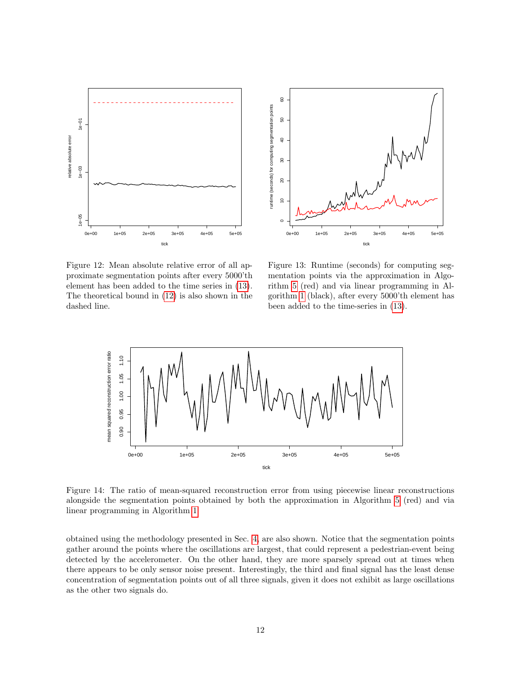<span id="page-11-0"></span>



Figure 12: Mean absolute relative error of all approximate segmentation points after every 5000'th element has been added to the time series in [\(13\)](#page-10-1). The theoretical bound in [\(12\)](#page-9-1) is also shown in the dashed line.

Figure 13: Runtime (seconds) for computing segmentation points via the approximation in Algorithm [5](#page-20-1) (red) and via linear programming in Algorithm [1](#page-18-0) (black), after every 5000'th element has been added to the time-series in [\(13\)](#page-10-1).

<span id="page-11-1"></span>

Figure 14: The ratio of mean-squared reconstruction error from using piecewise linear reconstructions alongside the segmentation points obtained by both the approximation in Algorithm [5](#page-20-1) (red) and via linear programming in Algorithm [1.](#page-18-0)

obtained using the methodology presented in Sec. [4,](#page-4-0) are also shown. Notice that the segmentation points gather around the points where the oscillations are largest, that could represent a pedestrian-event being detected by the accelerometer. On the other hand, they are more sparsely spread out at times when there appears to be only sensor noise present. Interestingly, the third and final signal has the least dense concentration of segmentation points out of all three signals, given it does not exhibit as large oscillations as the other two signals do.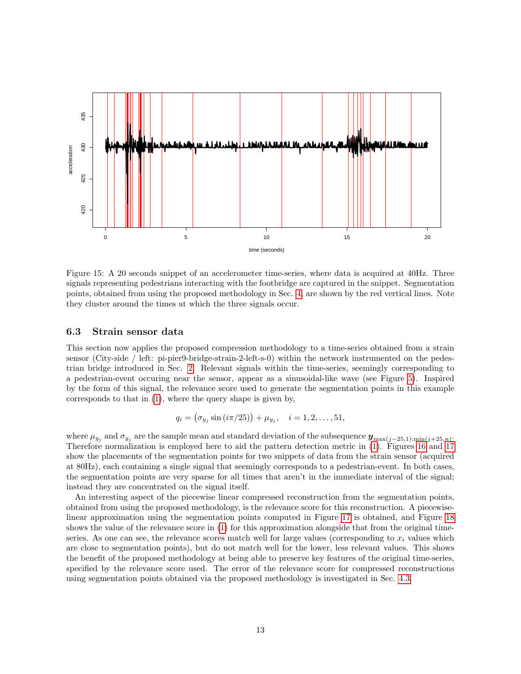<span id="page-12-0"></span>

Figure 15: A 20 seconds snippet of an accelerometer time-series, where data is acquired at 40Hz. Three signals representing pedestrians interacting with the footbridge are captured in the snippet. Segmentation points, obtained from using the proposed methodology in Sec. [4,](#page-4-0) are shown by the red vertical lines. Note they cluster around the times at which the three signals occur.

### 6.3 Strain sensor data

This section now applies the proposed compression methodology to a time-series obtained from a strain sensor (City-side / left: pi-pier9-bridge-strain-2-left-s-0) within the network instrumented on the pedestrian bridge introduced in Sec. [2.](#page-1-0) Relevant signals within the time-series, seemingly corresponding to a pedestrian-event occuring near the sensor, appear as a sinusoidal-like wave (see Figure [5\)](#page-3-1). Inspired by the form of this signal, the relevance score used to generate the segmentation points in this example corresponds to that in [\(1\)](#page-4-1), where the query shape is given by,

$$
q_i = (\sigma_{y_j} \sin(i\pi/25)) + \mu_{y_j}, \quad i = 1, 2, ..., 51,
$$

where  $\mu_{y_j}$  and  $\sigma_{y_j}$  are the sample mean and standard deviation of the subsequence  $\mathbf{y}_{\max(j-25,1):\min(j+25,n)}$ . Therefore normalization is employed here to aid the pattern detection metric in [\(1\)](#page-4-1). Figures [16](#page-13-0) and [17](#page-13-0) show the placements of the segmentation points for two snippets of data from the strain sensor (acquired at 80Hz), each containing a single signal that seemingly corresponds to a pedestrian-event. In both cases, the segmentation points are very sparse for all times that aren't in the immediate interval of the signal; instead they are concentrated on the signal itself.

An interesting aspect of the piecewise linear compressed reconstruction from the segmentation points, obtained from using the proposed methodology, is the relevance score for this reconstruction. A piecewiselinear approximation using the segmentation points computed in Figure [17](#page-13-0) is obtained, and Figure [18](#page-14-0) shows the value of the relevance score in [\(1\)](#page-4-1) for this approximation alongside that from the original timeseries. As one can see, the relevance scores match well for large values (corresponding to  $x_i$  values which are close to segmentation points), but do not match well for the lower, less relevant values. This shows the benefit of the proposed methodology at being able to preserve key features of the original time-series, specified by the relevance score used. The error of the relevance score for compressed reconstructions using segmentation points obtained via the proposed methodology is investigated in Sec. [4.3.](#page-7-0)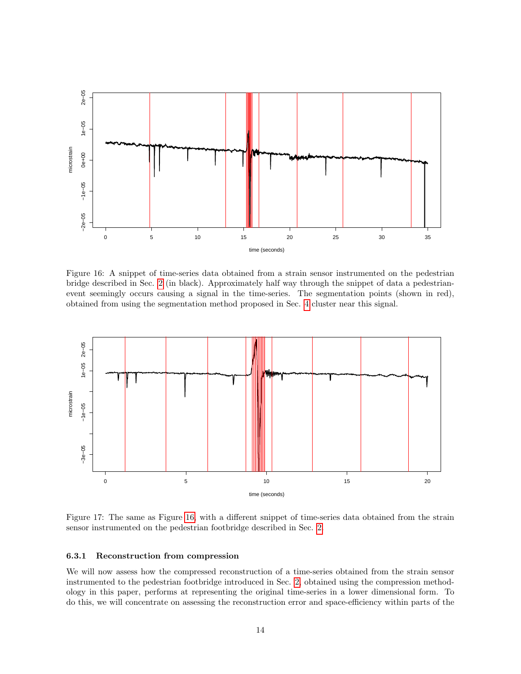<span id="page-13-0"></span>

Figure 16: A snippet of time-series data obtained from a strain sensor instrumented on the pedestrian bridge described in Sec. [2](#page-1-0) (in black). Approximately half way through the snippet of data a pedestrianevent seemingly occurs causing a signal in the time-series. The segmentation points (shown in red), obtained from using the segmentation method proposed in Sec. [4](#page-4-0) cluster near this signal.



Figure 17: The same as Figure [16,](#page-13-0) with a different snippet of time-series data obtained from the strain sensor instrumented on the pedestrian footbridge described in Sec. [2.](#page-1-0)

#### 6.3.1 Reconstruction from compression

We will now assess how the compressed reconstruction of a time-series obtained from the strain sensor instrumented to the pedestrian footbridge introduced in Sec. [2,](#page-1-0) obtained using the compression methodology in this paper, performs at representing the original time-series in a lower dimensional form. To do this, we will concentrate on assessing the reconstruction error and space-efficiency within parts of the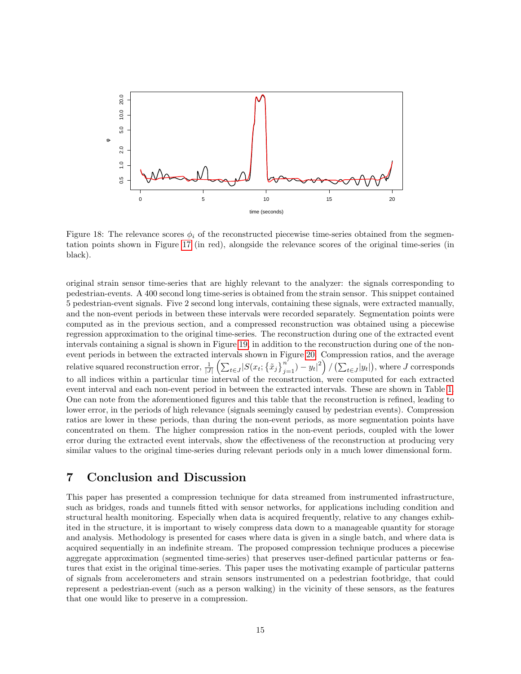<span id="page-14-0"></span>

Figure 18: The relevance scores  $\phi_i$  of the reconstructed piecewise time-series obtained from the segmentation points shown in Figure [17](#page-13-0) (in red), alongside the relevance scores of the original time-series (in black).

original strain sensor time-series that are highly relevant to the analyzer: the signals corresponding to pedestrian-events. A 400 second long time-series is obtained from the strain sensor. This snippet contained 5 pedestrian-event signals. Five 2 second long intervals, containing these signals, were extracted manually, and the non-event periods in between these intervals were recorded separately. Segmentation points were computed as in the previous section, and a compressed reconstruction was obtained using a piecewise regression approximation to the original time-series. The reconstruction during one of the extracted event intervals containing a signal is shown in Figure [19,](#page-15-0) in addition to the reconstruction during one of the nonevent periods in between the extracted intervals shown in Figure [20.](#page-15-0) Compression ratios, and the average relative squared reconstruction error,  $\frac{1}{|J|} (\sum_{t \in J} |S(x_t; \{\tilde{x}_j\}_{j=1}^{n'}) - y_t|^2)/(\sum_{t \in J} |y_t|)$ , where J corresponds to all indices within a particular time interval of the reconstruction, were computed for each extracted event interval and each non-event period in between the extracted intervals. These are shown in Table [1.](#page-15-1) One can note from the aforementioned figures and this table that the reconstruction is refined, leading to lower error, in the periods of high relevance (signals seemingly caused by pedestrian events). Compression ratios are lower in these periods, than during the non-event periods, as more segmentation points have concentrated on them. The higher compression ratios in the non-event periods, coupled with the lower error during the extracted event intervals, show the effectiveness of the reconstruction at producing very similar values to the original time-series during relevant periods only in a much lower dimensional form.

## 7 Conclusion and Discussion

This paper has presented a compression technique for data streamed from instrumented infrastructure, such as bridges, roads and tunnels fitted with sensor networks, for applications including condition and structural health monitoring. Especially when data is acquired frequently, relative to any changes exhibited in the structure, it is important to wisely compress data down to a manageable quantity for storage and analysis. Methodology is presented for cases where data is given in a single batch, and where data is acquired sequentially in an indefinite stream. The proposed compression technique produces a piecewise aggregate approximation (segmented time-series) that preserves user-defined particular patterns or features that exist in the original time-series. This paper uses the motivating example of particular patterns of signals from accelerometers and strain sensors instrumented on a pedestrian footbridge, that could represent a pedestrian-event (such as a person walking) in the vicinity of these sensors, as the features that one would like to preserve in a compression.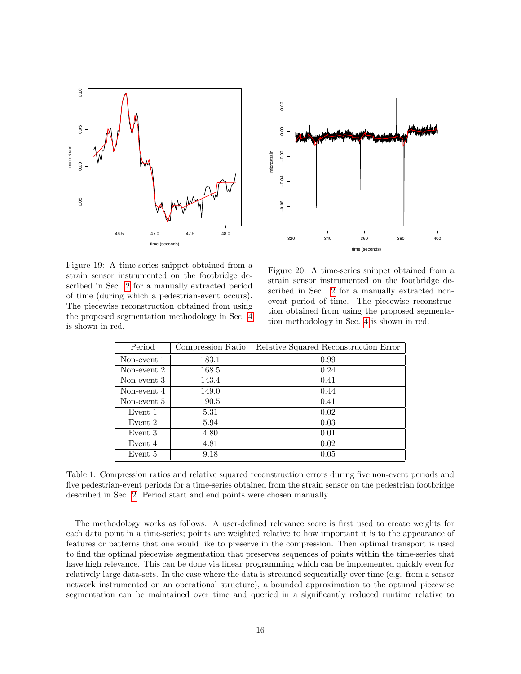<span id="page-15-0"></span>



Figure 19: A time-series snippet obtained from a strain sensor instrumented on the footbridge described in Sec. [2](#page-1-0) for a manually extracted period of time (during which a pedestrian-event occurs). The piecewise reconstruction obtained from using the proposed segmentation methodology in Sec. [4](#page-4-0) is shown in red.

Figure 20: A time-series snippet obtained from a strain sensor instrumented on the footbridge described in Sec. [2](#page-1-0) for a manually extracted nonevent period of time. The piecewise reconstruction obtained from using the proposed segmentation methodology in Sec. [4](#page-4-0) is shown in red.

<span id="page-15-1"></span>

| Period      | Compression Ratio | Relative Squared Reconstruction Error |
|-------------|-------------------|---------------------------------------|
| Non-event 1 | 183.1             | 0.99                                  |
| Non-event 2 | 168.5             | 0.24                                  |
| Non-event 3 | 143.4             | 0.41                                  |
| Non-event 4 | 149.0             | 0.44                                  |
| Non-event 5 | 190.5             | 0.41                                  |
| Event 1     | 5.31              | 0.02                                  |
| Event 2     | 5.94              | 0.03                                  |
| Event 3     | 4.80              | 0.01                                  |
| Event 4     | 4.81              | 0.02                                  |
| Event 5     | 9.18              | 0.05                                  |

Table 1: Compression ratios and relative squared reconstruction errors during five non-event periods and five pedestrian-event periods for a time-series obtained from the strain sensor on the pedestrian footbridge described in Sec. [2.](#page-1-0) Period start and end points were chosen manually.

The methodology works as follows. A user-defined relevance score is first used to create weights for each data point in a time-series; points are weighted relative to how important it is to the appearance of features or patterns that one would like to preserve in the compression. Then optimal transport is used to find the optimal piecewise segmentation that preserves sequences of points within the time-series that have high relevance. This can be done via linear programming which can be implemented quickly even for relatively large data-sets. In the case where the data is streamed sequentially over time (e.g. from a sensor network instrumented on an operational structure), a bounded approximation to the optimal piecewise segmentation can be maintained over time and queried in a significantly reduced runtime relative to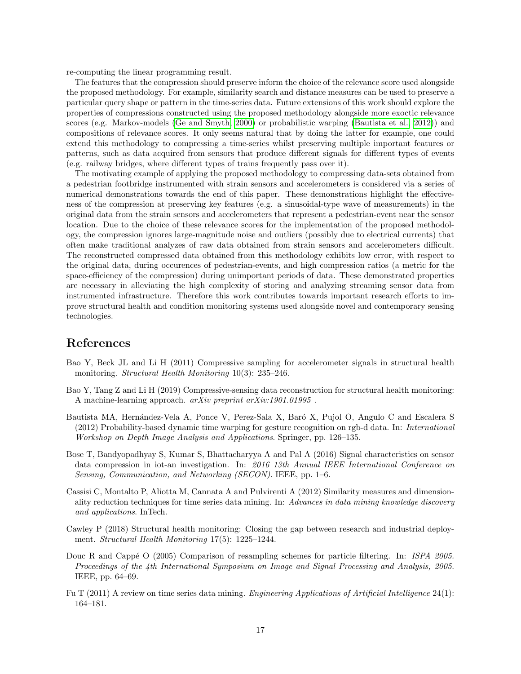re-computing the linear programming result.

The features that the compression should preserve inform the choice of the relevance score used alongside the proposed methodology. For example, similarity search and distance measures can be used to preserve a particular query shape or pattern in the time-series data. Future extensions of this work should explore the properties of compressions constructed using the proposed methodology alongside more exoctic relevance scores (e.g. Markov-models [\(Ge and Smyth, 2000\)](#page-17-14) or probabilistic warping [\(Bautista et al., 2012\)](#page-16-7)) and compositions of relevance scores. It only seems natural that by doing the latter for example, one could extend this methodology to compressing a time-series whilst preserving multiple important features or patterns, such as data acquired from sensors that produce different signals for different types of events (e.g. railway bridges, where different types of trains frequently pass over it).

The motivating example of applying the proposed methodology to compressing data-sets obtained from a pedestrian footbridge instrumented with strain sensors and accelerometers is considered via a series of numerical demonstrations towards the end of this paper. These demonstrations highlight the effectiveness of the compression at preserving key features (e.g. a sinusoidal-type wave of measurements) in the original data from the strain sensors and accelerometers that represent a pedestrian-event near the sensor location. Due to the choice of these relevance scores for the implementation of the proposed methodology, the compression ignores large-magnitude noise and outliers (possibly due to electrical currents) that often make traditional analyzes of raw data obtained from strain sensors and accelerometers difficult. The reconstructed compressed data obtained from this methodology exhibits low error, with respect to the original data, during occurences of pedestrian-events, and high compression ratios (a metric for the space-efficiency of the compression) during unimportant periods of data. These demonstrated properties are necessary in alleviating the high complexity of storing and analyzing streaming sensor data from instrumented infrastructure. Therefore this work contributes towards important research efforts to improve structural health and condition monitoring systems used alongside novel and contemporary sensing technologies.

## References

- <span id="page-16-1"></span>Bao Y, Beck JL and Li H (2011) Compressive sampling for accelerometer signals in structural health monitoring. *Structural Health Monitoring* 10(3): 235–246.
- <span id="page-16-2"></span>Bao Y, Tang Z and Li H (2019) Compressive-sensing data reconstruction for structural health monitoring: A machine-learning approach. arXiv preprint arXiv:1901.01995 .
- <span id="page-16-7"></span>Bautista MA, Hernández-Vela A, Ponce V, Perez-Sala X, Baró X, Pujol O, Angulo C and Escalera S (2012) Probability-based dynamic time warping for gesture recognition on rgb-d data. In: International Workshop on Depth Image Analysis and Applications. Springer, pp. 126–135.
- <span id="page-16-3"></span>Bose T, Bandyopadhyay S, Kumar S, Bhattacharyya A and Pal A (2016) Signal characteristics on sensor data compression in iot-an investigation. In: 2016 13th Annual IEEE International Conference on Sensing, Communication, and Networking (SECON). IEEE, pp. 1–6.
- <span id="page-16-5"></span>Cassisi C, Montalto P, Aliotta M, Cannata A and Pulvirenti A (2012) Similarity measures and dimensionality reduction techniques for time series data mining. In: Advances in data mining knowledge discovery and applications. InTech.
- <span id="page-16-0"></span>Cawley P (2018) Structural health monitoring: Closing the gap between research and industrial deployment. Structural Health Monitoring 17(5): 1225–1244.
- <span id="page-16-6"></span>Douc R and Cappé O (2005) Comparison of resampling schemes for particle filtering. In: ISPA 2005. Proceedings of the 4th International Symposium on Image and Signal Processing and Analysis, 2005. IEEE, pp. 64–69.
- <span id="page-16-4"></span>Fu T (2011) A review on time series data mining. Engineering Applications of Artificial Intelligence 24(1): 164–181.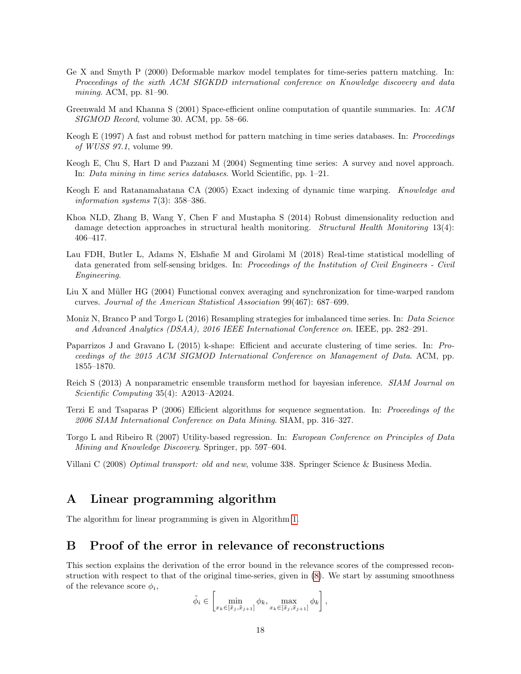- <span id="page-17-14"></span>Ge X and Smyth P (2000) Deformable markov model templates for time-series pattern matching. In: Proceedings of the sixth ACM SIGKDD international conference on Knowledge discovery and data mining. ACM, pp. 81–90.
- <span id="page-17-15"></span>Greenwald M and Khanna S (2001) Space-efficient online computation of quantile summaries. In: ACM SIGMOD Record, volume 30. ACM, pp. 58–66.
- <span id="page-17-7"></span>Keogh E (1997) A fast and robust method for pattern matching in time series databases. In: Proceedings of WUSS 97.1, volume 99.
- <span id="page-17-4"></span>Keogh E, Chu S, Hart D and Pazzani M (2004) Segmenting time series: A survey and novel approach. In: Data mining in time series databases. World Scientific, pp. 1–21.
- <span id="page-17-9"></span>Keogh E and Ratanamahatana CA (2005) Exact indexing of dynamic time warping. Knowledge and information systems  $7(3)$ : 358-386.
- <span id="page-17-0"></span>Khoa NLD, Zhang B, Wang Y, Chen F and Mustapha S (2014) Robust dimensionality reduction and damage detection approaches in structural health monitoring. *Structural Health Monitoring* 13(4): 406–417.
- <span id="page-17-1"></span>Lau FDH, Butler L, Adams N, Elshafie M and Girolami M (2018) Real-time statistical modelling of data generated from self-sensing bridges. In: *Proceedings of the Institution of Civil Engineers - Civil* Engineering.
- <span id="page-17-8"></span>Liu X and Müller HG (2004) Functional convex averaging and synchronization for time-warped random curves. Journal of the American Statistical Association 99(467): 687–699.
- <span id="page-17-2"></span>Moniz N, Branco P and Torgo L (2016) Resampling strategies for imbalanced time series. In: Data Science and Advanced Analytics (DSAA), 2016 IEEE International Conference on. IEEE, pp. 282–291.
- <span id="page-17-10"></span>Paparrizos J and Gravano L (2015) k-shape: Efficient and accurate clustering of time series. In: Proceedings of the 2015 ACM SIGMOD International Conference on Management of Data. ACM, pp. 1855–1870.
- <span id="page-17-12"></span>Reich S (2013) A nonparametric ensemble transform method for bayesian inference. SIAM Journal on Scientific Computing 35(4): A2013–A2024.
- <span id="page-17-5"></span>Terzi E and Tsaparas P (2006) Efficient algorithms for sequence segmentation. In: Proceedings of the 2006 SIAM International Conference on Data Mining. SIAM, pp. 316–327.
- <span id="page-17-3"></span>Torgo L and Ribeiro R (2007) Utility-based regression. In: European Conference on Principles of Data Mining and Knowledge Discovery. Springer, pp. 597–604.

<span id="page-17-6"></span>Villani C (2008) Optimal transport: old and new, volume 338. Springer Science & Business Media.

## <span id="page-17-11"></span>A Linear programming algorithm

The algorithm for linear programming is given in Algorithm [1.](#page-18-0)

## <span id="page-17-13"></span>B Proof of the error in relevance of reconstructions

This section explains the derivation of the error bound in the relevance scores of the compressed reconstruction with respect to that of the original time-series, given in [\(8\)](#page-8-2). We start by assuming smoothness of the relevance score  $\phi_i$ ,

$$
\tilde{\phi}_i \in \left[ \min_{x_k \in [\tilde{x}_j, \tilde{x}_{j+1}]} \phi_k, \max_{x_k \in [\tilde{x}_j, \tilde{x}_{j+1}]} \phi_k \right],
$$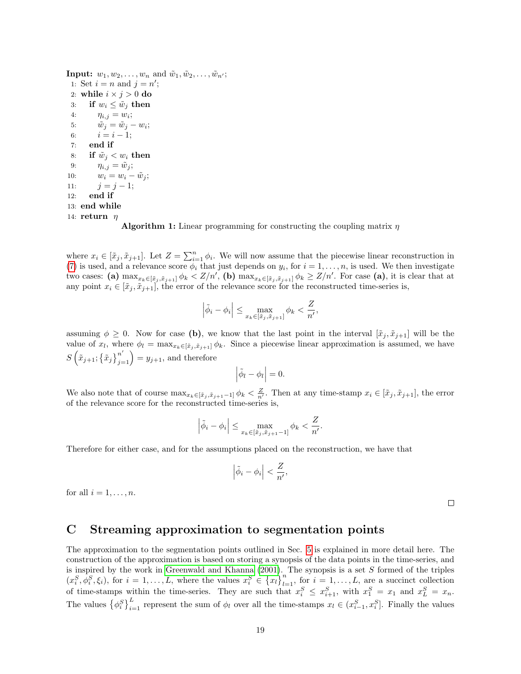<span id="page-18-0"></span>**Input:**  $w_1, w_2, \ldots, w_n$  and  $\tilde{w}_1, \tilde{w}_2, \ldots, \tilde{w}_{n'};$ 1: Set  $i = n$  and  $j = n'$ ; 2: while  $i \times j > 0$  do 3: if  $w_i \leq \tilde{w}_j$  then 4:  $\eta_{i,j} = w_i;$ 5:  $\tilde{w}_j = \tilde{w}_j - w_i;$ 6:  $i = i - 1$ ; 7: end if 8: if  $\tilde{w}_i < w_i$  then 9:  $\eta_{i,j} = \tilde{w}_j;$ 10:  $w_i = w_i - \tilde{w}_j;$ 11:  $j = j - 1;$ 12: end if 13: end while 14: return  $\eta$ 



where  $x_i \in [\tilde{x}_j, \tilde{x}_{j+1}]$ . Let  $Z = \sum_{i=1}^n \phi_i$ . We will now assume that the piecewise linear reconstruction in [\(7\)](#page-7-2) is used, and a relevance score  $\phi_i$  that just depends on  $y_i$ , for  $i = 1, \ldots, n$ , is used. We then investigate two cases: (a)  $\max_{x_k \in [\tilde{x}_j, \tilde{x}_{j+1}]} \phi_k < Z/n'$ , (b)  $\max_{x_k \in [\tilde{x}_j, \tilde{x}_{j+1}]} \phi_k \ge Z/n'$ . For case (a), it is clear that at any point  $x_i \in [\tilde{x}_j, \tilde{x}_{j+1}]$ , the error of the relevance score for the reconstructed time-series is,

$$
\left|\tilde{\phi}_i - \phi_i\right| \le \max_{x_k \in [\tilde{x}_j, \tilde{x}_{j+1}]} \phi_k < \frac{Z}{n'},
$$

assuming  $\phi \geq 0$ . Now for case (b), we know that the last point in the interval  $[\tilde{x}_i, \tilde{x}_{i+1}]$  will be the value of  $x_l$ , where  $\phi_l = \max_{x_k \in [\tilde{x}_j, \tilde{x}_{j+1}]} \phi_k$ . Since a piecewise linear approximation is assumed, we have  $S\left(\tilde{x}_{j+1}; \{\tilde{x}_j\}_{j=1}^{n'}\right) = y_{j+1}$ , and therefore

$$
\left|\tilde{\phi}_l-\phi_l\right|=0.
$$

We also note that of course  $\max_{x_k \in [\tilde{x}_j, \tilde{x}_{j+1}-1]} \phi_k < \frac{Z}{n'}$ . Then at any time-stamp  $x_i \in [\tilde{x}_j, \tilde{x}_{j+1}]$ , the error of the relevance score for the reconstructed time-series is,

$$
\left|\tilde{\phi}_i - \phi_i\right| \le \max_{x_k \in [\tilde{x}_j, \tilde{x}_{j+1} - 1]} \phi_k < \frac{Z}{n'}.
$$

Therefore for either case, and for the assumptions placed on the reconstruction, we have that

$$
\left|\tilde{\phi}_i - \phi_i\right| < \frac{Z}{n'},
$$

for all  $i = 1, \ldots, n$ .

 $\Box$ 

## <span id="page-18-1"></span>C Streaming approximation to segmentation points

The approximation to the segmentation points outlined in Sec. [5](#page-8-0) is explained in more detail here. The construction of the approximation is based on storing a synopsis of the data points in the time-series, and is inspired by the work in [Greenwald and Khanna](#page-17-15)  $(2001)$ . The synopsis is a set S formed of the triples  $(x_i^S, \phi_i^S, \xi_i)$ , for  $i = 1, ..., L$ , where the values  $x_i^S \in \{x_i\}_{i=1}^n$ , for  $i = 1, ..., L$ , are a succinct collection of time-stamps within the time-series. They are such that  $x_i^S \le x_{i+1}^S$ , with  $x_1^S = x_1$  and  $x_L^S = x_n$ . The values  $\{\phi_i^S\}_{i=1}^L$  represent the sum of  $\phi_l$  over all the time-stamps  $x_l \in (x_{i-1}^S, x_i^S]$ . Finally the values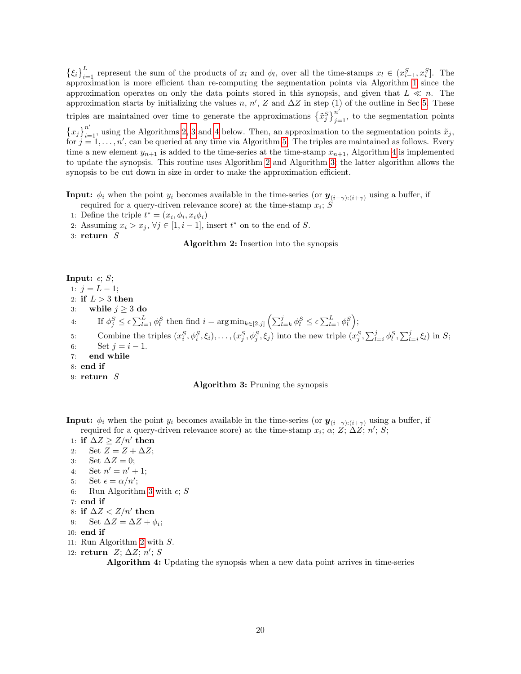$\{\xi_i\}_{i=1}^L$  represent the sum of the products of  $x_l$  and  $\phi_l$ , over all the time-stamps  $x_l \in (x_{i-1}^S, x_i^S]$ . The approximation is more efficient than re-computing the segmentation points via Algorithm [1](#page-18-0) since the approximation operates on only the data points stored in this synopsis, and given that  $L \ll n$ . The approximation starts by initializing the values n, n', Z and  $\Delta Z$  in step (1) of the outline in Sec [5.](#page-8-0) These triples are maintained over time to generate the approximations  $\left\{ \tilde{x}_{j}^{S}\right\} _{j=1}^{n'}$ , to the segmentation points  $\{x_j\}_{i=1}^{n'}$ , using the Algorithms [2,](#page-19-0) [3](#page-19-1) and [4](#page-19-2) below. Then, an approximation to the segmentation points  $\tilde{x}_j$ , for  $j=1,\ldots,n'$ , can be queried at any time via Algorithm [5.](#page-20-1) The triples are maintained as follows. Every time a new element  $y_{n+1}$  is added to the time-series at the time-stamp  $x_{n+1}$ , Algorithm [4](#page-19-2) is implemented to update the synopsis. This routine uses Algorithm [2](#page-19-0) and Algorithm [3;](#page-19-1) the latter algorithm allows the synopsis to be cut down in size in order to make the approximation efficient.

<span id="page-19-0"></span>**Input:**  $\phi_i$  when the point  $y_i$  becomes available in the time-series (or  $\mathbf{y}_{(i-\gamma):(i+\gamma)}$  using a buffer, if required for a query-driven relevance score) at the time-stamp  $x_i$ ; S

- 1: Define the triple  $t^* = (x_i, \phi_i, x_i \phi_i)$
- 2: Assuming  $x_i > x_j$ ,  $\forall j \in [1, i 1]$ , insert  $t^*$  on to the end of S.
- 3: return  $S$

#### Algorithm 2: Insertion into the synopsis

<span id="page-19-1"></span>Input:  $\epsilon$ ; S; 1:  $j = L - 1;$ 2: if  $L > 3$  then 3: while  $j \geq 3$  do 4: If  $\phi_j^S \leq \epsilon \sum_{l=1}^L \phi_l^S$  then find  $i = \arg \min_{k \in [2,j]} \left( \sum_{l=k}^j \phi_l^S \leq \epsilon \sum_{l=1}^L \phi_l^S \right);$ 5: Combine the triples  $(x_i^S, \phi_i^S, \xi_i), \ldots, (x_j^S, \phi_j^S, \xi_j)$  into the new triple  $(x_j^S, \sum_{l=i}^j \phi_l^S, \sum_{l=i}^j \xi_l)$  in S; 6: Set  $i = i - 1$ . 7: end while 8: end if 9:  $return S$ 

#### Algorithm 3: Pruning the synopsis

<span id="page-19-2"></span>**Input:**  $\phi_i$  when the point  $y_i$  becomes available in the time-series (or  $\mathbf{y}_{(i-\gamma):(i+\gamma)}$  using a buffer, if required for a query-driven relevance score) at the time-stamp  $x_i$ ;  $\alpha$ ;  $Z$ ;  $\Delta Z$ ;  $n'$ ;  $S$ ;

1: if  $\Delta Z \geq Z/n'$  then 2: Set  $Z = Z + \Delta Z$ ; 3: Set  $\Delta Z = 0$ ; 4: Set  $n' = n' + 1$ ; 5: Set  $\epsilon = \alpha/n';$ 6: Run Algorithm [3](#page-19-1) with  $\epsilon$ ; S 7: end if 8: if  $\Delta Z < Z/n'$  then 9: Set  $\Delta Z = \Delta Z + \phi_i$ ; 10: end if 11: Run Algorithm [2](#page-19-0) with S. 12: return  $Z; \Delta Z; n'; S$ 

Algorithm 4: Updating the synopsis when a new data point arrives in time-series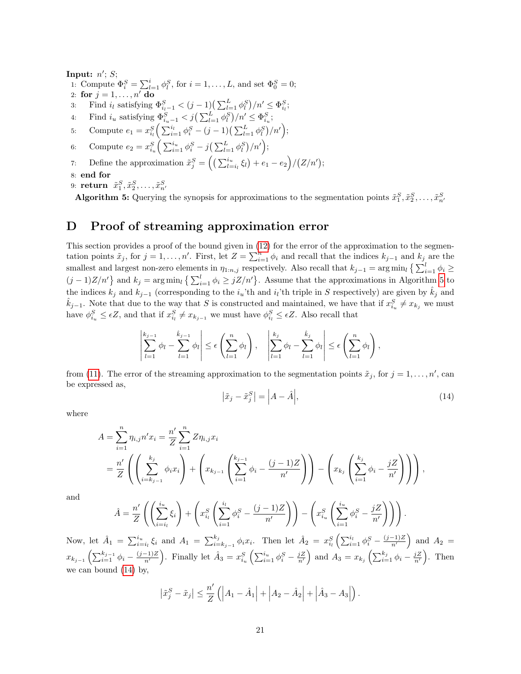<span id="page-20-1"></span>Input:  $n'$ ; S; 1: Compute  $\Phi_i^S = \sum_{l=1}^i \phi_l^S$ , for  $i = 1, ..., L$ , and set  $\Phi_0^S = 0$ ; 2: for  $j = 1, \ldots, n'$  do 3: Find  $i_l$  satisfying  $\Phi_{i_l-1}^S < (j-1) \left( \sum_{l=1}^L \phi_l^S \right) / n' \leq \Phi_{i_l}^S$ ; 4: Find  $i_u$  satisfying  $\Phi_{i_u-1}^S < j\left(\sum_{l=1}^L \phi_l^S\right)/n' \leq \Phi_{i_u}^S$ ; 5: Compute  $e_1 = x_{i_l}^S \left( \sum_{i=1}^{i_l} \phi_i^S - (j-1) \left( \sum_{l=1}^L \phi_l^S \right) / n' \right);$ 6: Compute  $e_2 = x_{i_u}^S \left( \sum_{i=1}^{i_u} \phi_i^S - j \left( \sum_{l=1}^L \phi_l^S \right) / n' \right);$ 7: Define the approximation  $\tilde{x}_j^S = \left( \left( \sum_{l=i_l}^{i_u} \xi_l \right) + e_1 - e_2 \right) / (Z/n')$ ; 8: end for 9: return  $\tilde{x}_1^S, \tilde{x}_2^S, \ldots, \tilde{x}_{n'}^S$ 

Algorithm 5: Querying the synopsis for approximations to the segmentation points  $\tilde{x}_1^S, \tilde{x}_2^S, \ldots, \tilde{x}_{n'}^S$ 

## <span id="page-20-0"></span>D Proof of streaming approximation error

This section provides a proof of the bound given in [\(12\)](#page-9-1) for the error of the approximation to the segmentation points  $\tilde{x}_j$ , for  $j = 1, \ldots, n'$ . First, let  $Z = \sum_{i=1}^n \phi_i$  and recall that the indices  $k_{j-1}$  and  $k_j$  are the smallest and largest non-zero elements in  $\eta_{1:n,j}$  respectively. Also recall that  $k_{j-1} = \arg\min_l \left\{ \sum_{i=1}^l \phi_i \geq 1 \right\}$  $(j-1)Z/n'$  and  $k_j = \arg\min_l {\sum_{i=1}^l \phi_i \ge jZ/n'}$ . Assume that the approximations in Algorithm [5](#page-20-1) to the indices  $k_j$  and  $k_{j-1}$  (corresponding to the  $i_u$ 'th and  $i_l$ 'th triple in S respectively) are given by  $\hat{k}_j$  and  $\hat{k}_{j-1}$ . Note that due to the way that S is constructed and maintained, we have that if  $x_{i_u}^S \neq x_{k_j}$  we must have  $\phi_{i_u}^S \leq \epsilon Z$ , and that if  $x_{i_l}^S \neq x_{k_{j-1}}$  we must have  $\phi_{i_l}^S \leq \epsilon Z$ . Also recall that

$$
\left|\sum_{l=1}^{k_{j-1}} \phi_l - \sum_{l=1}^{\hat{k}_{j-1}} \phi_l\right| \leq \epsilon \left(\sum_{l=1}^n \phi_l\right), \quad \left|\sum_{l=1}^{k_j} \phi_l - \sum_{l=1}^{\hat{k}_j} \phi_l\right| \leq \epsilon \left(\sum_{l=1}^n \phi_l\right),
$$

from [\(11\)](#page-9-2). The error of the streaming approximation to the segmentation points  $\tilde{x}_j$ , for  $j = 1, \ldots, n'$ , can be expressed as,

<span id="page-20-2"></span>
$$
\left|\tilde{x}_{j} - \tilde{x}_{j}^{S}\right| = \left|A - \hat{A}\right|,\tag{14}
$$

where

$$
A = \sum_{i=1}^{n} \eta_{i,j} n' x_i = \frac{n'}{Z} \sum_{i=1}^{n} Z \eta_{i,j} x_i
$$
  
=  $\frac{n'}{Z} \left( \left( \sum_{i=k_{j-1}}^{k_j} \phi_i x_i \right) + \left( x_{k_{j-1}} \left( \sum_{i=1}^{k_{j-1}} \phi_i - \frac{(j-1)Z}{n'} \right) \right) - \left( x_{k_j} \left( \sum_{i=1}^{k_j} \phi_i - \frac{jZ}{n'} \right) \right) \right),$ 

and

$$
\hat{A} = \frac{n'}{Z} \left( \left( \sum_{i=i_l}^{i_u} \xi_i \right) + \left( x_{i_l}^S \left( \sum_{i=1}^{i_l} \phi_i^S - \frac{(j-1)Z}{n'} \right) \right) - \left( x_{i_u}^S \left( \sum_{i=1}^{i_u} \phi_i^S - \frac{jZ}{n'} \right) \right) \right).
$$

Now, let  $\hat{A}_1 = \sum_{i=i_l}^{i_u} \xi_i$  and  $A_1 = \sum_{i=k_{j-1}}^{k_j} \phi_i x_i$ . Then let  $\hat{A}_2 = x_{i_l}^S \left( \sum_{i=1}^{i_l} \phi_i^S - \frac{(j-1)Z}{n'} \right)$  and  $A_2 =$  $x_{k_{j-1}}\left(\sum_{i=1}^{k_{j-1}}\phi_i - \frac{(j-1)Z}{n'}\right)$ . Finally let  $\hat{A}_3 = x_{i_u}^S\left(\sum_{i=1}^{i_u}\phi_i^S - \frac{jZ}{n'}\right)$  and  $A_3 = x_{k_j}\left(\sum_{i=1}^{k_j}\phi_i - \frac{jZ}{n'}\right)$ . Then we can bound [\(14\)](#page-20-2) by,

$$
|\tilde{x}_j^S - \tilde{x}_j| \le \frac{n'}{Z} (|A_1 - \hat{A}_1| + |A_2 - \hat{A}_2| + |\hat{A}_3 - A_3|).
$$